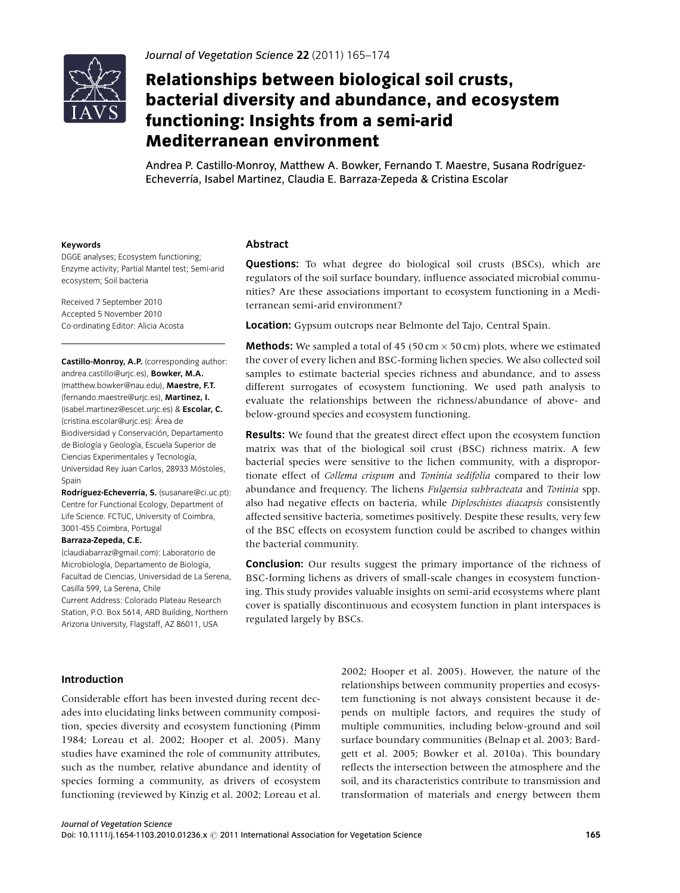

# Relationships between biological soil crusts, bacterial diversity and abundance, and ecosystem functioning: Insights from a semi-arid Mediterranean environment

Andrea P. Castillo-Monroy, Matthew A. Bowker, Fernando T. Maestre, Susana Rodríguez-Echeverría, Isabel Martinez, Claudia E. Barraza-Zepeda & Cristina Escolar

#### Keywords

DGGE analyses; Ecosystem functioning; Enzyme activity; Partial Mantel test; Semi-arid ecosystem; Soil bacteria

Received 7 September 2010 Accepted 5 November 2010 Co-ordinating Editor: Alicia Acosta

Castillo-Monroy, A.P. (corresponding author: [andrea.castillo@urjc.es\),](mailto:andrea.castillo@urjc.es) Bowker, M.A. [\(matthew.bowker@nau.edu\),](mailto:matthew.bowker@nau.edu) Maestre, F.T. [\(fernando.maestre@urjc.es\),](mailto:fernando.maestre@urjc.es) Martinez, I. [\(isabel.martinez@escet.urjc.es\)](mailto:isabel.martinez@escet.urjc.es) & [Escolar, C.](mailto:isabel.martinez@escet.urjc.es) (cristina.escolar@urjc.es): Área de Biodiversidad y Conservación, Departamento [de Biolog](mailto:cristina.escolar@urjc.es)ía y Geologí[a, Escuela Superior de](mailto:cristina.escolar@urjc.es) Ciencias Experimentales y Tecnología, Universidad Rey Juan Carlos, 28933 Móstoles, [Spain](mailto:cristina.escolar@urjc.es)

Rodríguez-Echeverría, S. [\(susanare@ci.uc.pt\):](mailto:susanare@ci.uc.pt) [Centre for Functional Ecology, Department of](mailto:susanare@ci.uc.pt) [Life Science. FCTUC, University of Coimbra,](mailto:susanare@ci.uc.pt) [3001-455 Coimbra, Portugal](mailto:susanare@ci.uc.pt)

#### [Barraza-Zepeda, C.E.](mailto:susanare@ci.uc.pt)

[\(claudiabarraz@gmail.com\): Laboratorio de](mailto:claudiabarraz@gmail.com) Microbiología, Departamento de Biología, [Facultad de Ciencias, Universidad de La Serena,](mailto:claudiabarraz@gmail.com) [Casilla 599, La Serena, Chile](mailto:claudiabarraz@gmail.com) [Current Address: Colorado Plateau Research](mailto:claudiabarraz@gmail.com) [Station, P.O. Box 5614, ARD Building, Northern](mailto:claudiabarraz@gmail.com) [Arizona University, Flagstaff, AZ 86011, USA](mailto:claudiabarraz@gmail.com)

# Abstract

**Questions:** To what degree do biological soil crusts (BSCs), which are regulators of the soil surface boundary, influence associated microbial communities? Are these associations important to ecosystem functioning in a Mediterranean semi-arid environment?

Location: Gypsum outcrops near Belmonte del Tajo, Central Spain.

**Methods:** We sampled a total of 45 (50 cm  $\times$  50 cm) plots, where we estimated the cover of every lichen and BSC-forming lichen species. We also collected soil samples to estimate bacterial species richness and abundance, and to assess different surrogates of ecosystem functioning. We used path analysis to evaluate the relationships between the richness/abundance of above- and below-ground species and ecosystem functioning.

**Results:** We found that the greatest direct effect upon the ecosystem function matrix was that of the biological soil crust (BSC) richness matrix. A few bacterial species were sensitive to the lichen community, with a disproportionate effect of Collema crispum and Toninia sedifolia compared to their low abundance and frequency. The lichens Fulgensia subbracteata and Toninia spp. also had negative effects on bacteria, while Diploschistes diacapsis consistently affected sensitive bacteria, sometimes positively. Despite these results, very few of the BSC effects on ecosystem function could be ascribed to changes within the bacterial community.

**Conclusion:** Our results suggest the primary importance of the richness of BSC-forming lichens as drivers of small-scale changes in ecosystem functioning. This study provides valuable insights on semi-arid ecosystems where plant cover is spatially discontinuous and ecosystem function in plant interspaces is regulated largely by BSCs.

## Introduction

Considerable effort has been invested during recent decades into elucidating links between community composition, species diversity and ecosystem functioning (Pimm 1984; Loreau et al. 2002; Hooper et al. 2005). Many studies have examined the role of community attributes, such as the number, relative abundance and identity of species forming a community, as drivers of ecosystem functioning (reviewed by Kinzig et al. 2002; Loreau et al.

2002; Hooper et al. 2005). However, the nature of the relationships between community properties and ecosystem functioning is not always consistent because it depends on multiple factors, and requires the study of multiple communities, including below-ground and soil surface boundary communities (Belnap et al. 2003; Bardgett et al. 2005; Bowker et al. 2010a). This boundary reflects the intersection between the atmosphere and the soil, and its characteristics contribute to transmission and transformation of materials and energy between them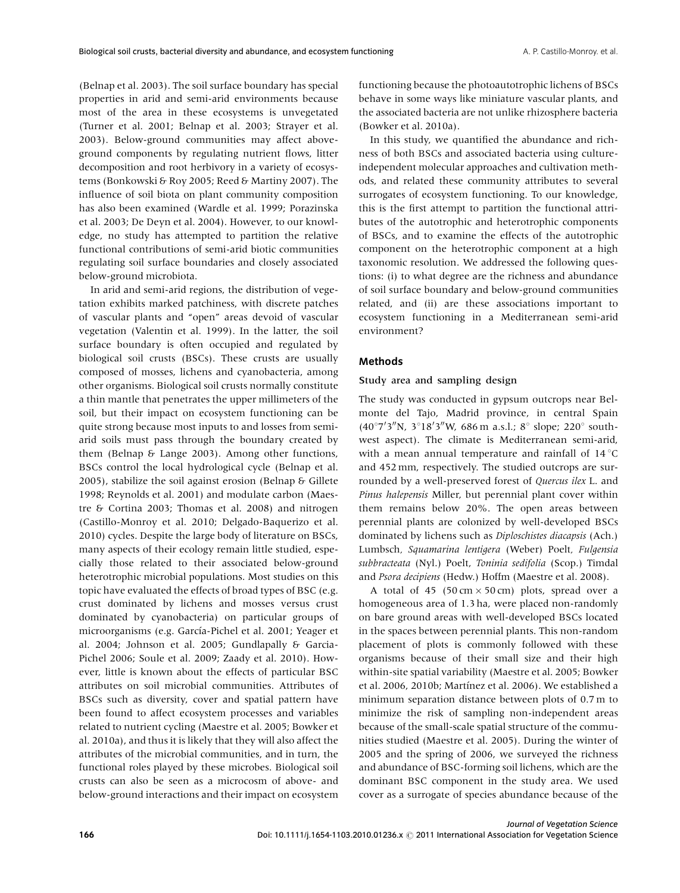(Belnap et al. 2003). The soil surface boundary has special properties in arid and semi-arid environments because most of the area in these ecosystems is unvegetated (Turner et al. 2001; Belnap et al. 2003; Strayer et al. 2003). Below-ground communities may affect aboveground components by regulating nutrient flows, litter decomposition and root herbivory in a variety of ecosystems (Bonkowski & Roy 2005; Reed & Martiny 2007). The influence of soil biota on plant community composition has also been examined (Wardle et al. 1999; Porazinska et al. 2003; De Deyn et al. 2004). However, to our knowledge, no study has attempted to partition the relative functional contributions of semi-arid biotic communities regulating soil surface boundaries and closely associated below-ground microbiota.

In arid and semi-arid regions, the distribution of vegetation exhibits marked patchiness, with discrete patches of vascular plants and ''open'' areas devoid of vascular vegetation (Valentin et al. 1999). In the latter, the soil surface boundary is often occupied and regulated by biological soil crusts (BSCs). These crusts are usually composed of mosses, lichens and cyanobacteria, among other organisms. Biological soil crusts normally constitute a thin mantle that penetrates the upper millimeters of the soil, but their impact on ecosystem functioning can be quite strong because most inputs to and losses from semiarid soils must pass through the boundary created by them (Belnap & Lange 2003). Among other functions, BSCs control the local hydrological cycle (Belnap et al. 2005), stabilize the soil against erosion (Belnap & Gillete 1998; Reynolds et al. 2001) and modulate carbon (Maestre & Cortina 2003; Thomas et al. 2008) and nitrogen (Castillo-Monroy et al. 2010; Delgado-Baquerizo et al. 2010) cycles. Despite the large body of literature on BSCs, many aspects of their ecology remain little studied, especially those related to their associated below-ground heterotrophic microbial populations. Most studies on this topic have evaluated the effects of broad types of BSC (e.g. crust dominated by lichens and mosses versus crust dominated by cyanobacteria) on particular groups of microorganisms (e.g. García-Pichel et al. 2001; Yeager et al. 2004; Johnson et al. 2005; Gundlapally & Garcia-Pichel 2006; Soule et al. 2009; Zaady et al. 2010). However, little is known about the effects of particular BSC attributes on soil microbial communities. Attributes of BSCs such as diversity, cover and spatial pattern have been found to affect ecosystem processes and variables related to nutrient cycling (Maestre et al. 2005; Bowker et al. 2010a), and thus it is likely that they will also affect the attributes of the microbial communities, and in turn, the functional roles played by these microbes. Biological soil crusts can also be seen as a microcosm of above- and below-ground interactions and their impact on ecosystem

functioning because the photoautotrophic lichens of BSCs behave in some ways like miniature vascular plants, and the associated bacteria are not unlike rhizosphere bacteria (Bowker et al. 2010a).

In this study, we quantified the abundance and richness of both BSCs and associated bacteria using cultureindependent molecular approaches and cultivation methods, and related these community attributes to several surrogates of ecosystem functioning. To our knowledge, this is the first attempt to partition the functional attributes of the autotrophic and heterotrophic components of BSCs, and to examine the effects of the autotrophic component on the heterotrophic component at a high taxonomic resolution. We addressed the following questions: (i) to what degree are the richness and abundance of soil surface boundary and below-ground communities related, and (ii) are these associations important to ecosystem functioning in a Mediterranean semi-arid environment?

## Methods

#### Study area and sampling design

The study was conducted in gypsum outcrops near Belmonte del Tajo, Madrid province, in central Spain (40°7'3"N, 3°18'3"W, 686 m a.s.l.; 8° slope; 220° southwest aspect). The climate is Mediterranean semi-arid, with a mean annual temperature and rainfall of  $14^{\circ}$ C and 452 mm, respectively. The studied outcrops are surrounded by a well-preserved forest of Quercus ilex L. and Pinus halepensis Miller, but perennial plant cover within them remains below 20%. The open areas between perennial plants are colonized by well-developed BSCs dominated by lichens such as Diploschistes diacapsis (Ach.) Lumbsch, Squamarina lentigera (Weber) Poelt, Fulgensia subbracteata (Nyl.) Poelt, Toninia sedifolia (Scop.) Timdal and Psora decipiens (Hedw.) Hoffm (Maestre et al. 2008).

A total of  $45$  (50 cm  $\times$  50 cm) plots, spread over a homogeneous area of 1.3 ha, were placed non-randomly on bare ground areas with well-developed BSCs located in the spaces between perennial plants. This non-random placement of plots is commonly followed with these organisms because of their small size and their high within-site spatial variability (Maestre et al. 2005; Bowker et al. 2006, 2010b; Martínez et al. 2006). We established a minimum separation distance between plots of 0.7 m to minimize the risk of sampling non-independent areas because of the small-scale spatial structure of the communities studied (Maestre et al. 2005). During the winter of 2005 and the spring of 2006, we surveyed the richness and abundance of BSC-forming soil lichens, which are the dominant BSC component in the study area. We used cover as a surrogate of species abundance because of the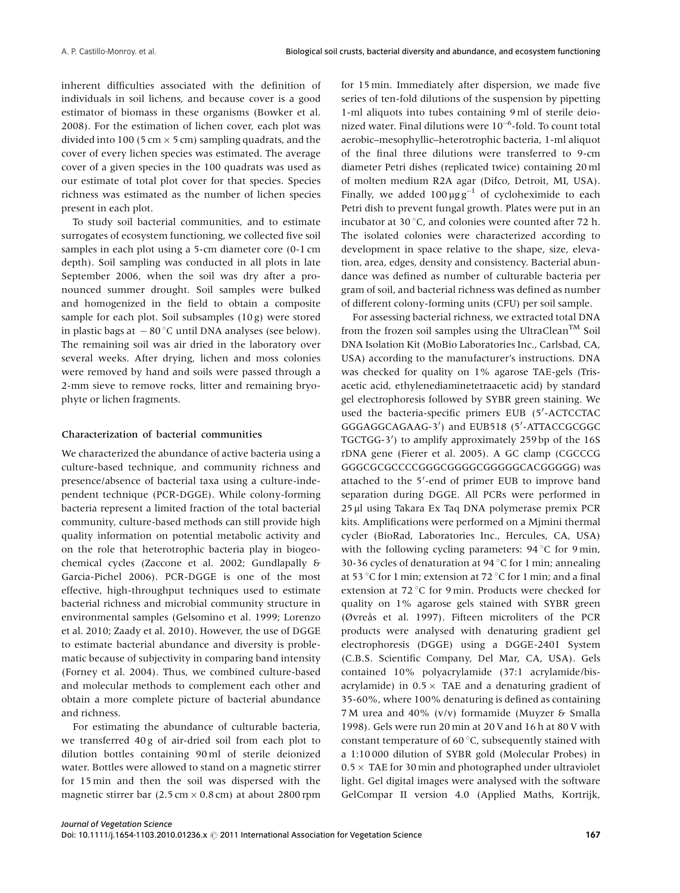inherent difficulties associated with the definition of individuals in soil lichens, and because cover is a good estimator of biomass in these organisms (Bowker et al. 2008). For the estimation of lichen cover, each plot was divided into 100 (5 cm  $\times$  5 cm) sampling quadrats, and the cover of every lichen species was estimated. The average cover of a given species in the 100 quadrats was used as our estimate of total plot cover for that species. Species richness was estimated as the number of lichen species present in each plot.

To study soil bacterial communities, and to estimate surrogates of ecosystem functioning, we collected five soil samples in each plot using a 5-cm diameter core (0-1 cm depth). Soil sampling was conducted in all plots in late September 2006, when the soil was dry after a pronounced summer drought. Soil samples were bulked and homogenized in the field to obtain a composite sample for each plot. Soil subsamples (10 g) were stored in plastic bags at  $-80^{\circ}$ C until DNA analyses (see below). The remaining soil was air dried in the laboratory over several weeks. After drying, lichen and moss colonies were removed by hand and soils were passed through a 2-mm sieve to remove rocks, litter and remaining bryophyte or lichen fragments.

# Characterization of bacterial communities

We characterized the abundance of active bacteria using a culture-based technique, and community richness and presence/absence of bacterial taxa using a culture-independent technique (PCR-DGGE). While colony-forming bacteria represent a limited fraction of the total bacterial community, culture-based methods can still provide high quality information on potential metabolic activity and on the role that heterotrophic bacteria play in biogeochemical cycles (Zaccone et al. 2002; Gundlapally & Garcia-Pichel 2006). PCR-DGGE is one of the most effective, high-throughput techniques used to estimate bacterial richness and microbial community structure in environmental samples (Gelsomino et al. 1999; Lorenzo et al. 2010; Zaady et al. 2010). However, the use of DGGE to estimate bacterial abundance and diversity is problematic because of subjectivity in comparing band intensity (Forney et al. 2004). Thus, we combined culture-based and molecular methods to complement each other and obtain a more complete picture of bacterial abundance and richness.

For estimating the abundance of culturable bacteria, we transferred 40 g of air-dried soil from each plot to dilution bottles containing 90 ml of sterile deionized water. Bottles were allowed to stand on a magnetic stirrer for 15 min and then the soil was dispersed with the magnetic stirrer bar  $(2.5 \text{ cm} \times 0.8 \text{ cm})$  at about 2800 rpm

for 15 min. Immediately after dispersion, we made five series of ten-fold dilutions of the suspension by pipetting 1-ml aliquots into tubes containing 9 ml of sterile deionized water. Final dilutions were  $10^{-6}$ -fold. To count total aerobic–mesophyllic–heterotrophic bacteria, 1-ml aliquot of the final three dilutions were transferred to 9-cm diameter Petri dishes (replicated twice) containing 20 ml of molten medium R2A agar (Difco, Detroit, MI, USA). Finally, we added  $100 \mu g g^{-1}$  of cycloheximide to each Petri dish to prevent fungal growth. Plates were put in an incubator at 30 $\degree$ C, and colonies were counted after 72 h. The isolated colonies were characterized according to development in space relative to the shape, size, elevation, area, edges, density and consistency. Bacterial abundance was defined as number of culturable bacteria per gram of soil, and bacterial richness was defined as number of different colony-forming units (CFU) per soil sample.

For assessing bacterial richness, we extracted total DNA from the frozen soil samples using the UltraClean<sup>TM</sup> Soil DNA Isolation Kit (MoBio Laboratories Inc., Carlsbad, CA, USA) according to the manufacturer's instructions. DNA was checked for quality on 1% agarose TAE-gels (Trisacetic acid, ethylenediaminetetraacetic acid) by standard gel electrophoresis followed by SYBR green staining. We used the bacteria-specific primers EUB (5'-ACTCCTAC GGGAGGCAGAAG-3') and EUB518 (5'-ATTACCGCGGC TGCTGG-3') to amplify approximately 259 bp of the 16S rDNA gene (Fierer et al. 2005). A GC clamp (CGCCCG GGGCGCGCCCCGGGCGGGGCGGGGGCACGGGGG) was attached to the 5'-end of primer EUB to improve band separation during DGGE. All PCRs were performed in 25 µl using Takara Ex Taq DNA polymerase premix PCR kits. Amplifications were performed on a Mjmini thermal cycler (BioRad, Laboratories Inc., Hercules, CA, USA) with the following cycling parameters:  $94^{\circ}$ C for 9 min, 30-36 cycles of denaturation at 94  $\degree$ C for 1 min; annealing at 53 °C for 1 min; extension at 72 °C for 1 min; and a final extension at 72 °C for 9 min. Products were checked for quality on 1% agarose gels stained with SYBR green (Øvreås et al. 1997). Fifteen microliters of the PCR products were analysed with denaturing gradient gel electrophoresis (DGGE) using a DGGE-2401 System (C.B.S. Scientific Company, Del Mar, CA, USA). Gels contained 10% polyacrylamide (37:1 acrylamide/bisacrylamide) in  $0.5 \times$  TAE and a denaturing gradient of 35-60%, where 100% denaturing is defined as containing 7 M urea and 40% (v/v) formamide (Muyzer & Smalla 1998). Gels were run 20 min at 20 V and 16 h at 80 V with constant temperature of 60 $\degree$ C, subsequently stained with a 1:10 000 dilution of SYBR gold (Molecular Probes) in  $0.5 \times$  TAE for 30 min and photographed under ultraviolet light. Gel digital images were analysed with the software GelCompar II version 4.0 (Applied Maths, Kortrijk,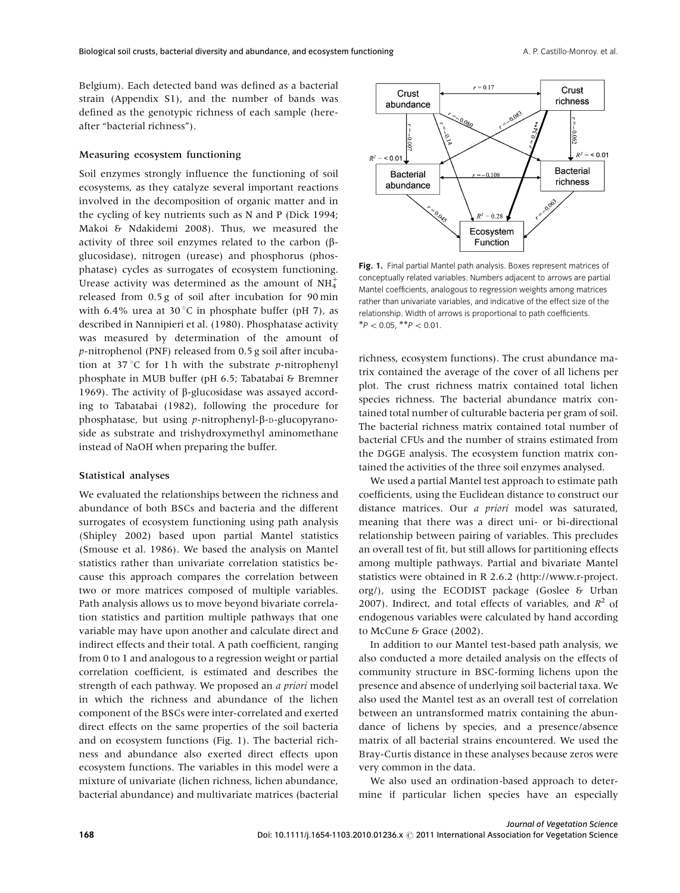Belgium). Each detected band was defined as a bacterial strain (Appendix S1), and the number of bands was defined as the genotypic richness of each sample (hereafter "bacterial richness").

# Measuring ecosystem functioning

Soil enzymes strongly influence the functioning of soil ecosystems, as they catalyze several important reactions involved in the decomposition of organic matter and in the cycling of key nutrients such as N and P (Dick 1994; Makoi & Ndakidemi 2008). Thus, we measured the activity of three soil enzymes related to the carbon (bglucosidase), nitrogen (urease) and phosphorus (phosphatase) cycles as surrogates of ecosystem functioning. Urease activity was determined as the amount of  $\mathrm{NH}_4^+$ released from 0.5 g of soil after incubation for 90 min with 6.4% urea at 30 $^{\circ}$ C in phosphate buffer (pH 7), as described in Nannipieri et al. (1980). Phosphatase activity was measured by determination of the amount of p-nitrophenol (PNF) released from 0.5 g soil after incubation at 37 °C for 1 h with the substrate p-nitrophenyl phosphate in MUB buffer (pH 6.5; Tabatabai & Bremner 1969). The activity of  $\beta$ -glucosidase was assayed according to Tabatabai (1982), following the procedure for phosphatase, but using  $p$ -nitrophenyl- $\beta$ -D-glucopyranoside as substrate and trishydroxymethyl aminomethane instead of NaOH when preparing the buffer.

#### Statistical analyses

We evaluated the relationships between the richness and abundance of both BSCs and bacteria and the different surrogates of ecosystem functioning using path analysis (Shipley 2002) based upon partial Mantel statistics (Smouse et al. 1986). We based the analysis on Mantel statistics rather than univariate correlation statistics because this approach compares the correlation between two or more matrices composed of multiple variables. Path analysis allows us to move beyond bivariate correlation statistics and partition multiple pathways that one variable may have upon another and calculate direct and indirect effects and their total. A path coefficient, ranging from 0 to 1 and analogous to a regression weight or partial correlation coefficient, is estimated and describes the strength of each pathway. We proposed an a priori model in which the richness and abundance of the lichen component of the BSCs were inter-correlated and exerted direct effects on the same properties of the soil bacteria and on ecosystem functions (Fig. 1). The bacterial richness and abundance also exerted direct effects upon ecosystem functions. The variables in this model were a mixture of univariate (lichen richness, lichen abundance, bacterial abundance) and multivariate matrices (bacterial



Fig. 1. Final partial Mantel path analysis. Boxes represent matrices of conceptually related variables. Numbers adjacent to arrows are partial Mantel coefficients, analogous to regression weights among matrices rather than univariate variables, and indicative of the effect size of the relationship. Width of arrows is proportional to path coefficients.  $^{*}P < 0.05, ^{**}P < 0.01.$ 

richness, ecosystem functions). The crust abundance matrix contained the average of the cover of all lichens per plot. The crust richness matrix contained total lichen species richness. The bacterial abundance matrix contained total number of culturable bacteria per gram of soil. The bacterial richness matrix contained total number of bacterial CFUs and the number of strains estimated from the DGGE analysis. The ecosystem function matrix contained the activities of the three soil enzymes analysed.

We used a partial Mantel test approach to estimate path coefficients, using the Euclidean distance to construct our distance matrices. Our a priori model was saturated, meaning that there was a direct uni- or bi-directional relationship between pairing of variables. This precludes an overall test of fit, but still allows for partitioning effects among multiple pathways. Partial and bivariate Mantel statistics were obtained in R 2.6.2 [\(http://www.r-project.](http://www.r-project.org/) [org/\)](http://www.r-project.org/), using the ECODIST package (Goslee & Urban 2007). Indirect, and total effects of variables, and  $R^2$  of endogenous variables were calculated by hand according to McCune & Grace (2002).

In addition to our Mantel test-based path analysis, we also conducted a more detailed analysis on the effects of community structure in BSC-forming lichens upon the presence and absence of underlying soil bacterial taxa. We also used the Mantel test as an overall test of correlation between an untransformed matrix containing the abundance of lichens by species, and a presence/absence matrix of all bacterial strains encountered. We used the Bray-Curtis distance in these analyses because zeros were very common in the data.

We also used an ordination-based approach to determine if particular lichen species have an especially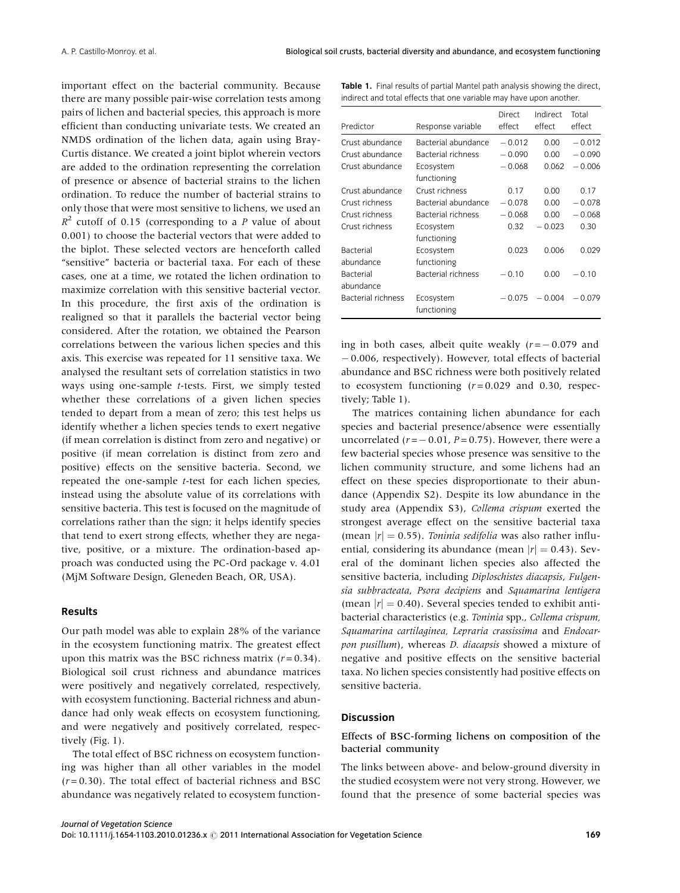important effect on the bacterial community. Because there are many possible pair-wise correlation tests among pairs of lichen and bacterial species, this approach is more efficient than conducting univariate tests. We created an NMDS ordination of the lichen data, again using Bray-Curtis distance. We created a joint biplot wherein vectors are added to the ordination representing the correlation of presence or absence of bacterial strains to the lichen ordination. To reduce the number of bacterial strains to only those that were most sensitive to lichens, we used an  $R<sup>2</sup>$  cutoff of 0.15 (corresponding to a P value of about 0.001) to choose the bacterial vectors that were added to the biplot. These selected vectors are henceforth called ''sensitive'' bacteria or bacterial taxa. For each of these cases, one at a time, we rotated the lichen ordination to maximize correlation with this sensitive bacterial vector. In this procedure, the first axis of the ordination is realigned so that it parallels the bacterial vector being considered. After the rotation, we obtained the Pearson correlations between the various lichen species and this axis. This exercise was repeated for 11 sensitive taxa. We analysed the resultant sets of correlation statistics in two ways using one-sample t-tests. First, we simply tested whether these correlations of a given lichen species tended to depart from a mean of zero; this test helps us identify whether a lichen species tends to exert negative (if mean correlation is distinct from zero and negative) or positive (if mean correlation is distinct from zero and positive) effects on the sensitive bacteria. Second, we repeated the one-sample t-test for each lichen species, instead using the absolute value of its correlations with sensitive bacteria. This test is focused on the magnitude of correlations rather than the sign; it helps identify species that tend to exert strong effects, whether they are negative, positive, or a mixture. The ordination-based approach was conducted using the PC-Ord package v. 4.01 (MjM Software Design, Gleneden Beach, OR, USA).

## Results

Our path model was able to explain 28% of the variance in the ecosystem functioning matrix. The greatest effect upon this matrix was the BSC richness matrix  $(r=0.34)$ . Biological soil crust richness and abundance matrices were positively and negatively correlated, respectively, with ecosystem functioning. Bacterial richness and abundance had only weak effects on ecosystem functioning, and were negatively and positively correlated, respectively (Fig. 1).

The total effect of BSC richness on ecosystem functioning was higher than all other variables in the model  $(r=0.30)$ . The total effect of bacterial richness and BSC abundance was negatively related to ecosystem functionTable 1. Final results of partial Mantel path analysis showing the direct, indirect and total effects that one variable may have upon another.

| Predictor          | Response variable   | Direct<br>effect | Indirect<br>effect | Total<br>effect |
|--------------------|---------------------|------------------|--------------------|-----------------|
|                    |                     |                  |                    |                 |
| Crust abundance    | Bacterial abundance | $-0.012$         | 0.00               | $-0.012$        |
| Crust abundance    | Bacterial richness  | $-0.090$         | 0.00               | $-0.090$        |
| Crust abundance    | Ecosystem           | $-0.068$         | 0.062              | $-0.006$        |
|                    | functioning         |                  |                    |                 |
| Crust abundance    | Crust richness      | 0.17             | 0.00               | 0.17            |
| Crust richness     | Bacterial abundance | $-0.078$         | 0.00               | $-0.078$        |
| Crust richness     | Bacterial richness  | $-0.068$         | 0.00               | $-0.068$        |
| Crust richness     | Ecosystem           | 0.32             | $-0.023$           | 0.30            |
|                    | functioning         |                  |                    |                 |
| <b>Bacterial</b>   | Ecosystem           | 0.023            | 0.006              | 0.029           |
| abundance          | functioning         |                  |                    |                 |
| <b>Bacterial</b>   | Bacterial richness  | $-0.10$          | 0.00               | $-0.10$         |
| abundance          |                     |                  |                    |                 |
| Bacterial richness | Ecosystem           | $-0.075$         | $-0.004$           | $-0.079$        |
|                    | functioning         |                  |                    |                 |

ing in both cases, albeit quite weakly  $(r = -0.079$  and 0.006, respectively). However, total effects of bacterial abundance and BSC richness were both positively related to ecosystem functioning  $(r=0.029$  and 0.30, respectively; Table 1).

The matrices containing lichen abundance for each species and bacterial presence/absence were essentially uncorrelated  $(r = -0.01, P = 0.75)$ . However, there were a few bacterial species whose presence was sensitive to the lichen community structure, and some lichens had an effect on these species disproportionate to their abundance (Appendix S2). Despite its low abundance in the study area (Appendix S3), Collema crispum exerted the strongest average effect on the sensitive bacterial taxa (mean  $|r| = 0.55$ ). Toninia sedifolia was also rather influential, considering its abundance (mean  $|r| = 0.43$ ). Several of the dominant lichen species also affected the sensitive bacteria, including Diploschistes diacapsis, Fulgensia subbracteata, Psora decipiens and Squamarina lentigera (mean  $|r| = 0.40$ ). Several species tended to exhibit antibacterial characteristics (e.g. Toninia spp., Collema crispum, Squamarina cartilaginea, Lepraria crassissima and Endocarpon pusillum), whereas D. diacapsis showed a mixture of negative and positive effects on the sensitive bacterial taxa. No lichen species consistently had positive effects on sensitive bacteria.

# Discussion

# Effects of BSC-forming lichens on composition of the bacterial community

The links between above- and below-ground diversity in the studied ecosystem were not very strong. However, we found that the presence of some bacterial species was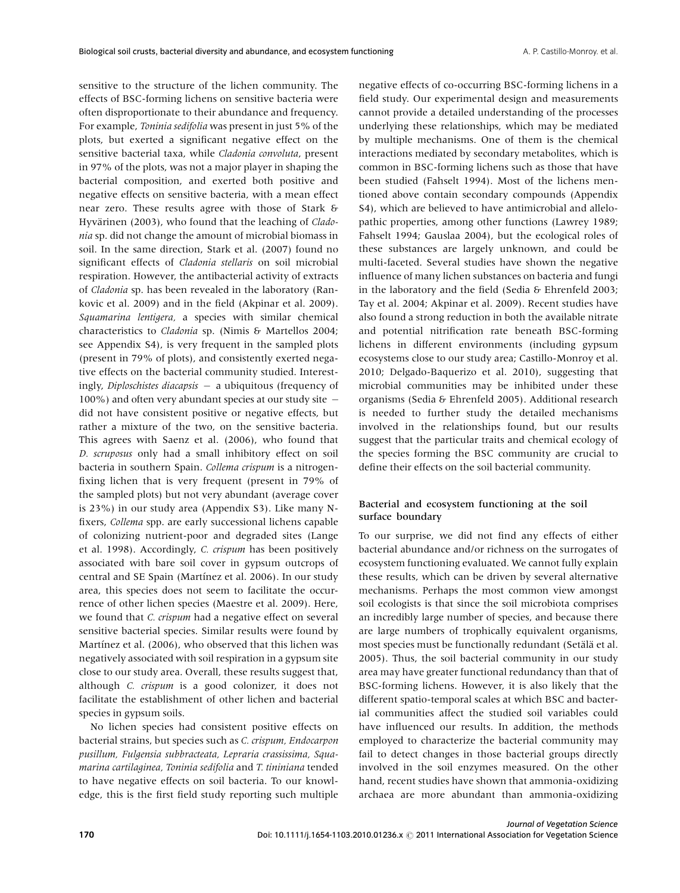sensitive to the structure of the lichen community. The effects of BSC-forming lichens on sensitive bacteria were often disproportionate to their abundance and frequency. For example, Toninia sedifolia was present in just 5% of the plots, but exerted a significant negative effect on the sensitive bacterial taxa, while Cladonia convoluta, present in 97% of the plots, was not a major player in shaping the bacterial composition, and exerted both positive and negative effects on sensitive bacteria, with a mean effect near zero. These results agree with those of Stark & Hyvärinen (2003), who found that the leaching of *Clado*nia sp. did not change the amount of microbial biomass in soil. In the same direction, Stark et al. (2007) found no significant effects of Cladonia stellaris on soil microbial respiration. However, the antibacterial activity of extracts of Cladonia sp. has been revealed in the laboratory (Rankovic et al. 2009) and in the field (Akpinar et al. 2009). Squamarina lentigera, a species with similar chemical characteristics to Cladonia sp. (Nimis & Martellos 2004; see Appendix S4), is very frequent in the sampled plots (present in 79% of plots), and consistently exerted negative effects on the bacterial community studied. Interestingly, *Diploschistes diacapsis*  $-$  *a ubiquitous (frequency of* 100%) and often very abundant species at our study site  $$ did not have consistent positive or negative effects, but rather a mixture of the two, on the sensitive bacteria. This agrees with Saenz et al. (2006), who found that D. scruposus only had a small inhibitory effect on soil bacteria in southern Spain. Collema crispum is a nitrogenfixing lichen that is very frequent (present in 79% of the sampled plots) but not very abundant (average cover is 23%) in our study area (Appendix S3). Like many Nfixers, Collema spp. are early successional lichens capable of colonizing nutrient-poor and degraded sites (Lange et al. 1998). Accordingly, C. crispum has been positively associated with bare soil cover in gypsum outcrops of central and SE Spain (Martínez et al. 2006). In our study area, this species does not seem to facilitate the occurrence of other lichen species (Maestre et al. 2009). Here, we found that *C. crispum* had a negative effect on several sensitive bacterial species. Similar results were found by Martínez et al. (2006), who observed that this lichen was negatively associated with soil respiration in a gypsum site close to our study area. Overall, these results suggest that, although C. crispum is a good colonizer, it does not facilitate the establishment of other lichen and bacterial species in gypsum soils.

No lichen species had consistent positive effects on bacterial strains, but species such as C. crispum, Endocarpon pusillum, Fulgensia subbracteata, Lepraria crassissima, Squamarina cartilaginea, Toninia sedifolia and T. tininiana tended to have negative effects on soil bacteria. To our knowledge, this is the first field study reporting such multiple negative effects of co-occurring BSC-forming lichens in a field study. Our experimental design and measurements cannot provide a detailed understanding of the processes underlying these relationships, which may be mediated by multiple mechanisms. One of them is the chemical interactions mediated by secondary metabolites, which is common in BSC-forming lichens such as those that have been studied (Fahselt 1994). Most of the lichens mentioned above contain secondary compounds (Appendix S4), which are believed to have antimicrobial and allelopathic properties, among other functions (Lawrey 1989; Fahselt 1994; Gauslaa 2004), but the ecological roles of these substances are largely unknown, and could be multi-faceted. Several studies have shown the negative influence of many lichen substances on bacteria and fungi in the laboratory and the field (Sedia & Ehrenfeld 2003; Tay et al. 2004; Akpinar et al. 2009). Recent studies have also found a strong reduction in both the available nitrate and potential nitrification rate beneath BSC-forming lichens in different environments (including gypsum ecosystems close to our study area; Castillo-Monroy et al. 2010; Delgado-Baquerizo et al. 2010), suggesting that microbial communities may be inhibited under these organisms (Sedia & Ehrenfeld 2005). Additional research is needed to further study the detailed mechanisms involved in the relationships found, but our results suggest that the particular traits and chemical ecology of the species forming the BSC community are crucial to define their effects on the soil bacterial community.

# Bacterial and ecosystem functioning at the soil surface boundary

To our surprise, we did not find any effects of either bacterial abundance and/or richness on the surrogates of ecosystem functioning evaluated. We cannot fully explain these results, which can be driven by several alternative mechanisms. Perhaps the most common view amongst soil ecologists is that since the soil microbiota comprises an incredibly large number of species, and because there are large numbers of trophically equivalent organisms, most species must be functionally redundant (Setälä et al. 2005). Thus, the soil bacterial community in our study area may have greater functional redundancy than that of BSC-forming lichens. However, it is also likely that the different spatio-temporal scales at which BSC and bacterial communities affect the studied soil variables could have influenced our results. In addition, the methods employed to characterize the bacterial community may fail to detect changes in those bacterial groups directly involved in the soil enzymes measured. On the other hand, recent studies have shown that ammonia-oxidizing archaea are more abundant than ammonia-oxidizing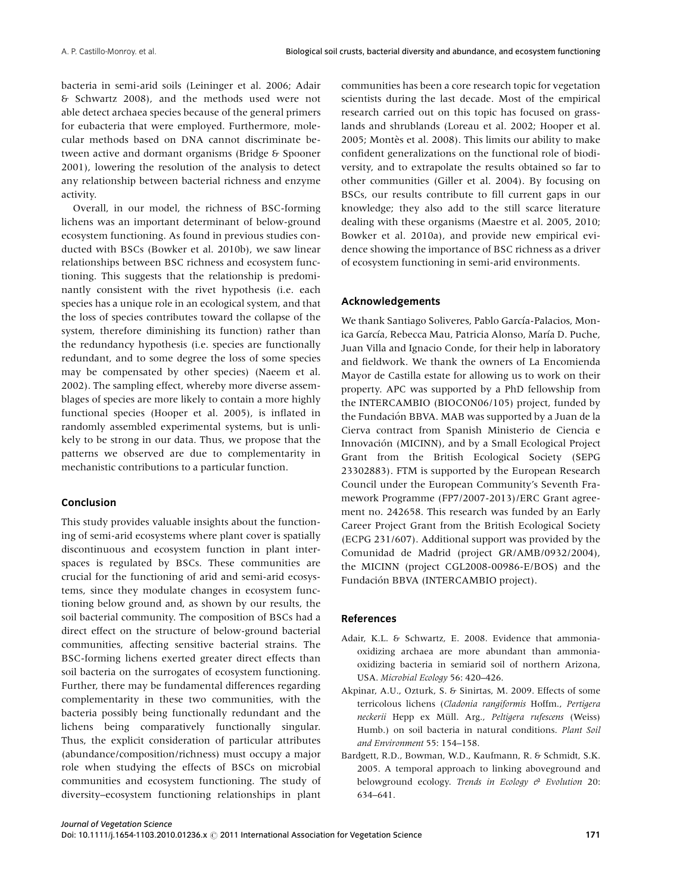bacteria in semi-arid soils (Leininger et al. 2006; Adair & Schwartz 2008), and the methods used were not able detect archaea species because of the general primers for eubacteria that were employed. Furthermore, molecular methods based on DNA cannot discriminate between active and dormant organisms (Bridge & Spooner 2001), lowering the resolution of the analysis to detect any relationship between bacterial richness and enzyme activity.

Overall, in our model, the richness of BSC-forming lichens was an important determinant of below-ground ecosystem functioning. As found in previous studies conducted with BSCs (Bowker et al. 2010b), we saw linear relationships between BSC richness and ecosystem functioning. This suggests that the relationship is predominantly consistent with the rivet hypothesis (i.e. each species has a unique role in an ecological system, and that the loss of species contributes toward the collapse of the system, therefore diminishing its function) rather than the redundancy hypothesis (i.e. species are functionally redundant, and to some degree the loss of some species may be compensated by other species) (Naeem et al. 2002). The sampling effect, whereby more diverse assemblages of species are more likely to contain a more highly functional species (Hooper et al. 2005), is inflated in randomly assembled experimental systems, but is unlikely to be strong in our data. Thus, we propose that the patterns we observed are due to complementarity in mechanistic contributions to a particular function.

# Conclusion

This study provides valuable insights about the functioning of semi-arid ecosystems where plant cover is spatially discontinuous and ecosystem function in plant interspaces is regulated by BSCs. These communities are crucial for the functioning of arid and semi-arid ecosystems, since they modulate changes in ecosystem functioning below ground and, as shown by our results, the soil bacterial community. The composition of BSCs had a direct effect on the structure of below-ground bacterial communities, affecting sensitive bacterial strains. The BSC-forming lichens exerted greater direct effects than soil bacteria on the surrogates of ecosystem functioning. Further, there may be fundamental differences regarding complementarity in these two communities, with the bacteria possibly being functionally redundant and the lichens being comparatively functionally singular. Thus, the explicit consideration of particular attributes (abundance/composition/richness) must occupy a major role when studying the effects of BSCs on microbial communities and ecosystem functioning. The study of diversity–ecosystem functioning relationships in plant communities has been a core research topic for vegetation scientists during the last decade. Most of the empirical research carried out on this topic has focused on grasslands and shrublands (Loreau et al. 2002; Hooper et al. 2005: Montès et al. 2008). This limits our ability to make confident generalizations on the functional role of biodiversity, and to extrapolate the results obtained so far to other communities (Giller et al. 2004). By focusing on BSCs, our results contribute to fill current gaps in our knowledge; they also add to the still scarce literature dealing with these organisms (Maestre et al. 2005, 2010; Bowker et al. 2010a), and provide new empirical evidence showing the importance of BSC richness as a driver of ecosystem functioning in semi-arid environments.

#### Acknowledgements

We thank Santiago Soliveres, Pablo García-Palacios, Monica García, Rebecca Mau, Patricia Alonso, María D. Puche, Juan Villa and Ignacio Conde, for their help in laboratory and fieldwork. We thank the owners of La Encomienda Mayor de Castilla estate for allowing us to work on their property. APC was supported by a PhD fellowship from the INTERCAMBIO (BIOCON06/105) project, funded by the Fundación BBVA. MAB was supported by a Juan de la Cierva contract from Spanish Ministerio de Ciencia e Innovación (MICINN), and by a Small Ecological Project Grant from the British Ecological Society (SEPG 23302883). FTM is supported by the European Research Council under the European Community's Seventh Framework Programme (FP7/2007-2013)/ERC Grant agreement no. 242658. This research was funded by an Early Career Project Grant from the British Ecological Society (ECPG 231/607). Additional support was provided by the Comunidad de Madrid (project GR/AMB/0932/2004), the MICINN (project CGL2008-00986-E/BOS) and the Fundación BBVA (INTERCAMBIO project).

#### References

- Adair, K.L. & Schwartz, E. 2008. Evidence that ammoniaoxidizing archaea are more abundant than ammoniaoxidizing bacteria in semiarid soil of northern Arizona, USA. Microbial Ecology 56: 420–426.
- Akpinar, A.U., Ozturk, S. & Sinirtas, M. 2009. Effects of some terricolous lichens (Cladonia rangiformis Hoffm., Pertigera neckerii Hepp ex Müll. Arg., Peltigera rufescens (Weiss) Humb.) on soil bacteria in natural conditions. Plant Soil and Environment 55: 154–158.
- Bardgett, R.D., Bowman, W.D., Kaufmann, R. & Schmidt, S.K. 2005. A temporal approach to linking aboveground and belowground ecology. Trends in Ecology  $\mathcal{C}$  Evolution 20: 634–641.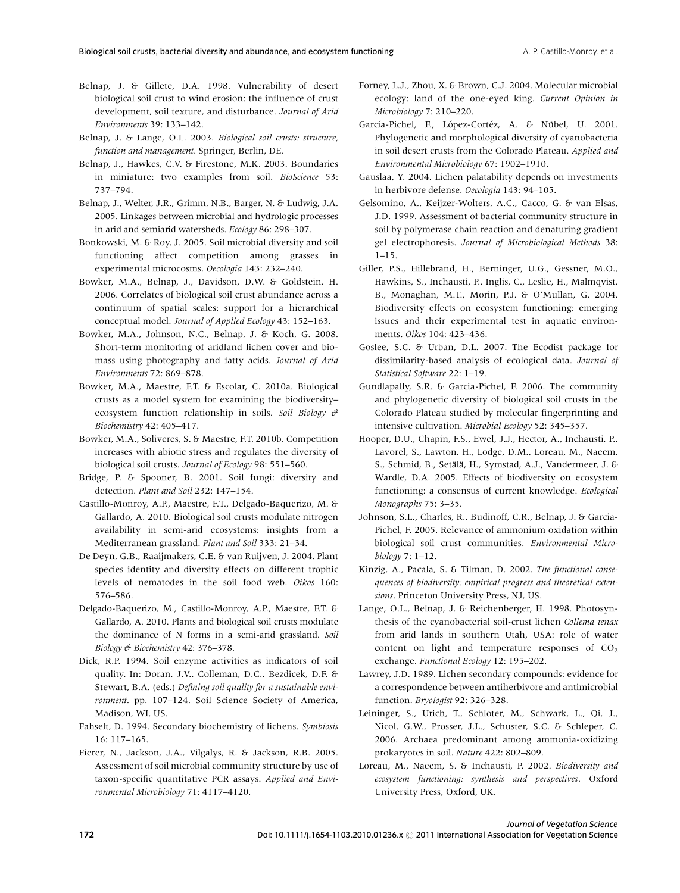- Belnap, J. & Gillete, D.A. 1998. Vulnerability of desert biological soil crust to wind erosion: the influence of crust development, soil texture, and disturbance. Journal of Arid Environments 39: 133–142.
- Belnap, J. & Lange, O.L. 2003. Biological soil crusts: structure, function and management. Springer, Berlin, DE.
- Belnap, J., Hawkes, C.V. & Firestone, M.K. 2003. Boundaries in miniature: two examples from soil. BioScience 53: 737–794.
- Belnap, J., Welter, J.R., Grimm, N.B., Barger, N. & Ludwig, J.A. 2005. Linkages between microbial and hydrologic processes in arid and semiarid watersheds. Ecology 86: 298–307.
- Bonkowski, M. & Roy, J. 2005. Soil microbial diversity and soil functioning affect competition among grasses in experimental microcosms. Oecologia 143: 232–240.
- Bowker, M.A., Belnap, J., Davidson, D.W. & Goldstein, H. 2006. Correlates of biological soil crust abundance across a continuum of spatial scales: support for a hierarchical conceptual model. Journal of Applied Ecology 43: 152–163.
- Bowker, M.A., Johnson, N.C., Belnap, J. & Koch, G. 2008. Short-term monitoring of aridland lichen cover and biomass using photography and fatty acids. Journal of Arid Environments 72: 869–878.
- Bowker, M.A., Maestre, F.T. & Escolar, C. 2010a. Biological crusts as a model system for examining the biodiversity– ecosystem function relationship in soils. Soil Biology  $e^{\mu}$ Biochemistry 42: 405–417.
- Bowker, M.A., Soliveres, S. & Maestre, F.T. 2010b. Competition increases with abiotic stress and regulates the diversity of biological soil crusts. Journal of Ecology 98: 551–560.
- Bridge, P. & Spooner, B. 2001. Soil fungi: diversity and detection. Plant and Soil 232: 147–154.
- Castillo-Monroy, A.P., Maestre, F.T., Delgado-Baquerizo, M. & Gallardo, A. 2010. Biological soil crusts modulate nitrogen availability in semi-arid ecosystems: insights from a Mediterranean grassland. Plant and Soil 333: 21–34.
- De Deyn, G.B., Raaijmakers, C.E. & van Ruijven, J. 2004. Plant species identity and diversity effects on different trophic levels of nematodes in the soil food web. Oikos 160: 576–586.
- Delgado-Baquerizo, M., Castillo-Monroy, A.P., Maestre, F.T. & Gallardo, A. 2010. Plants and biological soil crusts modulate the dominance of N forms in a semi-arid grassland. Soil Biology & Biochemistry 42: 376–378.
- Dick, R.P. 1994. Soil enzyme activities as indicators of soil quality. In: Doran, J.V., Colleman, D.C., Bezdicek, D.F. & Stewart, B.A. (eds.) Defining soil quality for a sustainable environment. pp. 107–124. Soil Science Society of America, Madison, WI, US.
- Fahselt, D. 1994. Secondary biochemistry of lichens. Symbiosis 16: 117–165.
- Fierer, N., Jackson, J.A., Vilgalys, R. & Jackson, R.B. 2005. Assessment of soil microbial community structure by use of taxon-specific quantitative PCR assays. Applied and Environmental Microbiology 71: 4117–4120.
- Forney, L.J., Zhou, X. & Brown, C.J. 2004. Molecular microbial ecology: land of the one-eyed king. Current Opinion in Microbiology 7: 210–220.
- García-Pichel, F., López-Cortéz, A. & Nübel, U. 2001. Phylogenetic and morphological diversity of cyanobacteria in soil desert crusts from the Colorado Plateau. Applied and Environmental Microbiology 67: 1902–1910.
- Gauslaa, Y. 2004. Lichen palatability depends on investments in herbivore defense. Oecologia 143: 94–105.
- Gelsomino, A., Keijzer-Wolters, A.C., Cacco, G. & van Elsas, J.D. 1999. Assessment of bacterial community structure in soil by polymerase chain reaction and denaturing gradient gel electrophoresis. Journal of Microbiological Methods 38: 1–15.
- Giller, P.S., Hillebrand, H., Berninger, U.G., Gessner, M.O., Hawkins, S., Inchausti, P., Inglis, C., Leslie, H., Malmqvist, B., Monaghan, M.T., Morin, P.J. & O'Mullan, G. 2004. Biodiversity effects on ecosystem functioning: emerging issues and their experimental test in aquatic environments. Oikos 104: 423–436.
- Goslee, S.C. & Urban, D.L. 2007. The Ecodist package for dissimilarity-based analysis of ecological data. Journal of Statistical Software 22: 1–19.
- Gundlapally, S.R. & Garcia-Pichel, F. 2006. The community and phylogenetic diversity of biological soil crusts in the Colorado Plateau studied by molecular fingerprinting and intensive cultivation. Microbial Ecology 52: 345–357.
- Hooper, D.U., Chapin, F.S., Ewel, J.J., Hector, A., Inchausti, P., Lavorel, S., Lawton, H., Lodge, D.M., Loreau, M., Naeem, S., Schmid, B., Setälä, H., Symstad, A.J., Vandermeer, J. & Wardle, D.A. 2005. Effects of biodiversity on ecosystem functioning: a consensus of current knowledge. Ecological Monographs 75: 3–35.
- Johnson, S.L., Charles, R., Budinoff, C.R., Belnap, J. & Garcia-Pichel, F. 2005. Relevance of ammonium oxidation within biological soil crust communities. Environmental Microbiology 7: 1–12.
- Kinzig, A., Pacala, S. & Tilman, D. 2002. The functional consequences of biodiversity: empirical progress and theoretical extensions. Princeton University Press, NJ, US.
- Lange, O.L., Belnap, J. & Reichenberger, H. 1998. Photosynthesis of the cyanobacterial soil-crust lichen Collema tenax from arid lands in southern Utah, USA: role of water content on light and temperature responses of  $CO<sub>2</sub>$ exchange. Functional Ecology 12: 195–202.
- Lawrey, J.D. 1989. Lichen secondary compounds: evidence for a correspondence between antiherbivore and antimicrobial function. Bryologist 92: 326–328.
- Leininger, S., Urich, T., Schloter, M., Schwark, L., Qi, J., Nicol, G.W., Prosser, J.L., Schuster, S.C. & Schleper, C. 2006. Archaea predominant among ammonia-oxidizing prokaryotes in soil. Nature 422: 802–809.
- Loreau, M., Naeem, S. & Inchausti, P. 2002. Biodiversity and ecosystem functioning: synthesis and perspectives. Oxford University Press, Oxford, UK.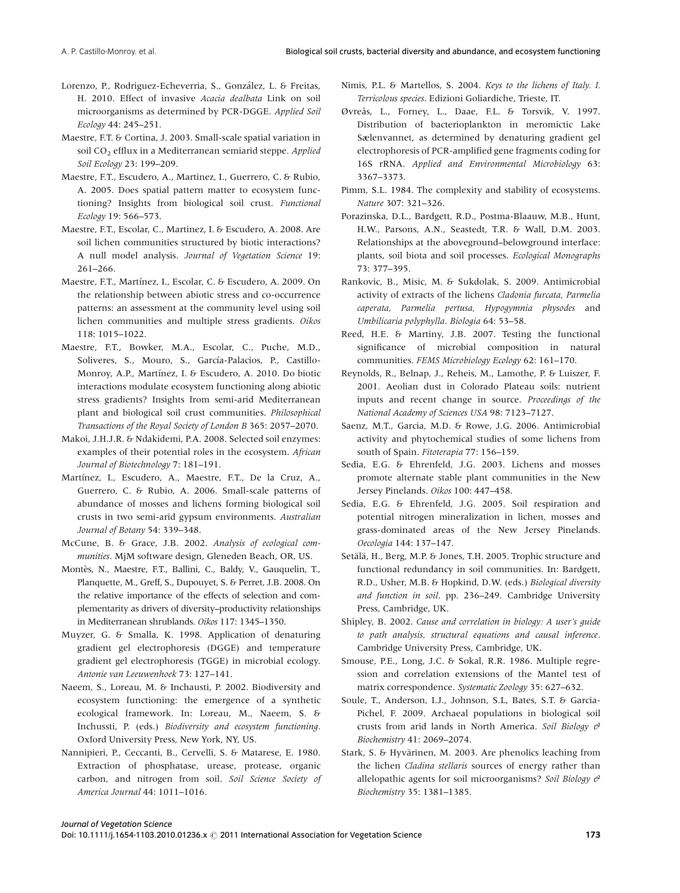- Lorenzo, P., Rodriguez-Echeverria, S., González, L. & Freitas, H. 2010. Effect of invasive Acacia dealbata Link on soil microorganisms as determined by PCR-DGGE. Applied Soil Ecology 44: 245–251.
- Maestre, F.T. & Cortina, J. 2003. Small-scale spatial variation in soil  $CO<sub>2</sub>$  efflux in a Mediterranean semiarid steppe. Applied Soil Ecology 23: 199–209.
- Maestre, F.T., Escudero, A., Martinez, I., Guerrero, C. & Rubio, A. 2005. Does spatial pattern matter to ecosystem functioning? Insights from biological soil crust. Functional Ecology 19: 566–573.
- Maestre, F.T., Escolar, C., Martinez, I. & Escudero, A. 2008. Are soil lichen communities structured by biotic interactions? A null model analysis. Journal of Vegetation Science 19: 261–266.
- Maestre, F.T., Martínez, I., Escolar, C. & Escudero, A. 2009. On the relationship between abiotic stress and co-occurrence patterns: an assessment at the community level using soil lichen communities and multiple stress gradients. Oikos 118: 1015–1022.
- Maestre, F.T., Bowker, M.A., Escolar, C., Puche, M.D., Soliveres, S., Mouro, S., García-Palacios, P., Castillo-Monroy, A.P., Martínez, I. & Escudero, A. 2010. Do biotic interactions modulate ecosystem functioning along abiotic stress gradients? Insights from semi-arid Mediterranean plant and biological soil crust communities. Philosophical Transactions of the Royal Society of London B 365: 2057–2070.
- Makoi, J.H.J.R. & Ndakidemi, P.A. 2008. Selected soil enzymes: examples of their potential roles in the ecosystem. African Journal of Biotechnology 7: 181–191.
- Martínez, I., Escudero, A., Maestre, F.T., De la Cruz, A., Guerrero, C. & Rubio, A. 2006. Small-scale patterns of abundance of mosses and lichens forming biological soil crusts in two semi-arid gypsum environments. Australian Journal of Botany 54: 339–348.
- McCune, B. & Grace, J.B. 2002. Analysis of ecological communities. MjM software design, Gleneden Beach, OR, US.
- Montès, N., Maestre, F.T., Ballini, C., Baldy, V., Gauquelin, T., Planquette, M., Greff, S., Dupouyet, S. & Perret, J.B. 2008. On the relative importance of the effects of selection and complementarity as drivers of diversity–productivity relationships in Mediterranean shrublands. Oikos 117: 1345–1350.
- Muyzer, G. & Smalla, K. 1998. Application of denaturing gradient gel electrophoresis (DGGE) and temperature gradient gel electrophoresis (TGGE) in microbial ecology. Antonie van Leeuwenhoek 73: 127–141.
- Naeem, S., Loreau, M. & Inchausti, P. 2002. Biodiversity and ecosystem functioning: the emergence of a synthetic ecological framework. In: Loreau, M., Naeem, S. & Inchussti, P. (eds.) Biodiversity and ecosystem functioning. Oxford University Press, New York, NY, US.
- Nannipieri, P., Ceccanti, B., Cervelli, S. & Matarese, E. 1980. Extraction of phosphatase, urease, protease, organic carbon, and nitrogen from soil. Soil Science Society of America Journal 44: 1011–1016.
- Nimis, P.L. & Martellos, S. 2004. Keys to the lichens of Italy. I. Terricolous species. Edizioni Goliardiche, Trieste, IT.
- Øvreås, L., Forney, L., Daae, F.L. & Torsvik, V. 1997. Distribution of bacterioplankton in meromictic Lake Sælenvannet, as determined by denaturing gradient gel electrophoresis of PCR-amplified gene fragments coding for 16S rRNA. Applied and Environmental Microbiology 63: 3367–3373.
- Pimm, S.L. 1984. The complexity and stability of ecosystems. Nature 307: 321–326.
- Porazinska, D.L., Bardgett, R.D., Postma-Blaauw, M.B., Hunt, H.W., Parsons, A.N., Seastedt, T.R. & Wall, D.M. 2003. Relationships at the aboveground–belowground interface: plants, soil biota and soil processes. Ecological Monographs 73: 377–395.
- Rankovic, B., Misic, M. & Sukdolak, S. 2009. Antimicrobial activity of extracts of the lichens Cladonia furcata, Parmelia caperata, Parmelia pertusa, Hypogymnia physodes and Umbilicaria polyphylla. Biologia 64: 53–58.
- Reed, H.E. & Martiny, J.B. 2007. Testing the functional significance of microbial composition in natural communities. FEMS Microbiology Ecology 62: 161–170.
- Reynolds, R., Belnap, J., Reheis, M., Lamothe, P. & Luiszer, F. 2001. Aeolian dust in Colorado Plateau soils: nutrient inputs and recent change in source. Proceedings of the National Academy of Sciences USA 98: 7123–7127.
- Saenz, M.T., Garcia, M.D. & Rowe, J.G. 2006. Antimicrobial activity and phytochemical studies of some lichens from south of Spain. Fitoterapia 77: 156–159.
- Sedia, E.G. & Ehrenfeld, J.G. 2003. Lichens and mosses promote alternate stable plant communities in the New Jersey Pinelands. Oikos 100: 447–458.
- Sedia, E.G. & Ehrenfeld, J.G. 2005. Soil respiration and potential nitrogen mineralization in lichen, mosses and grass-dominated areas of the New Jersey Pinelands. Oecologia 144: 137–147.
- Setälä, H., Berg, M.P. & Jones, T.H. 2005. Trophic structure and functional redundancy in soil communities. In: Bardgett, R.D., Usher, M.B. & Hopkind, D.W. (eds.) Biological diversity and function in soil. pp. 236–249. Cambridge University Press, Cambridge, UK.
- Shipley, B. 2002. Cause and correlation in biology: A user's guide to path analysis, structural equations and causal inference. Cambridge University Press, Cambridge, UK.
- Smouse, P.E., Long, J.C. & Sokal, R.R. 1986. Multiple regression and correlation extensions of the Mantel test of matrix correspondence. Systematic Zoology 35: 627–632.
- Soule, T., Anderson, I.J., Johnson, S.L, Bates, S.T. & Garcia-Pichel, F. 2009. Archaeal populations in biological soil crusts from arid lands in North America. Soil Biology  $\theta$ Biochemistry 41: 2069–2074.
- Stark, S. & Hyvärinen, M. 2003. Are phenolics leaching from the lichen Cladina stellaris sources of energy rather than allelopathic agents for soil microorganisms? Soil Biology  $\theta$ Biochemistry 35: 1381–1385.